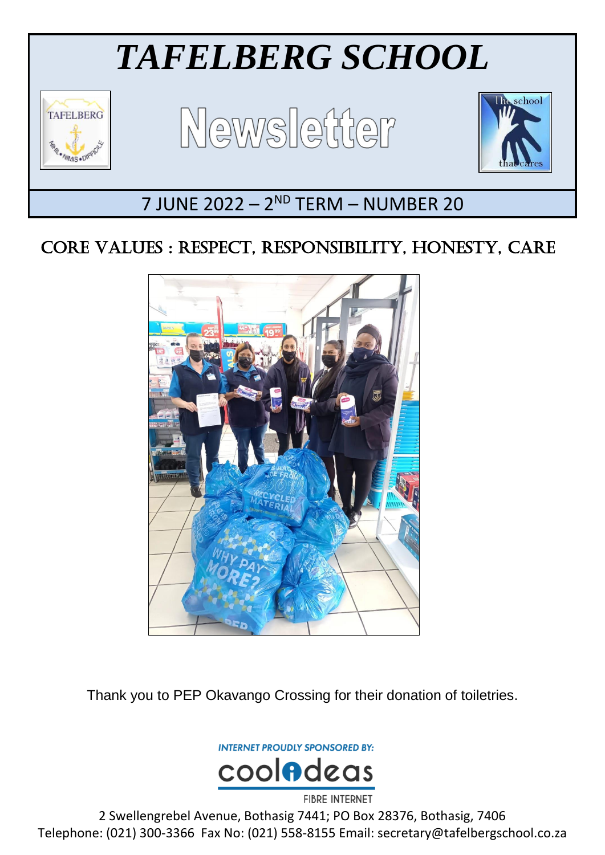

# CORE VALUES : RESPECT, RESPONSIBILITY, HONESTY, CARE



Thank you to PEP Okavango Crossing for their donation of toiletries.

**INTERNET PROUDLY SPONSORED BY:** 



2 Swellengrebel Avenue, Bothasig 7441; PO Box 28376, Bothasig, 7406 Telephone: (021) 300-3366 Fax No: (021) 558-8155 Email: secretary@tafelbergschool.co.za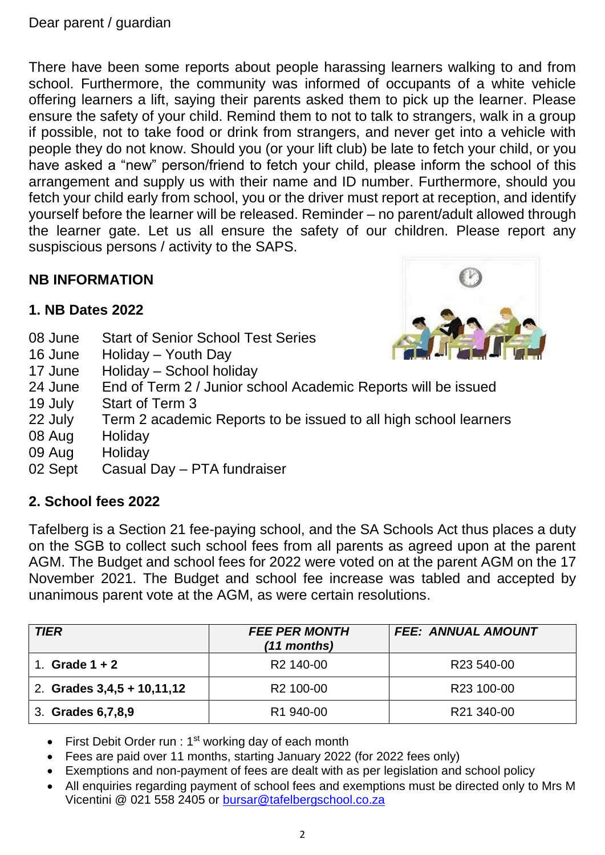There have been some reports about people harassing learners walking to and from school. Furthermore, the community was informed of occupants of a white vehicle offering learners a lift, saying their parents asked them to pick up the learner. Please ensure the safety of your child. Remind them to not to talk to strangers, walk in a group if possible, not to take food or drink from strangers, and never get into a vehicle with people they do not know. Should you (or your lift club) be late to fetch your child, or you have asked a "new" person/friend to fetch your child, please inform the school of this arrangement and supply us with their name and ID number. Furthermore, should you fetch your child early from school, you or the driver must report at reception, and identify yourself before the learner will be released. Reminder – no parent/adult allowed through the learner gate. Let us all ensure the safety of our children. Please report any suspiscious persons / activity to the SAPS.

# **NB INFORMATION**

# **1. NB Dates 2022**

- 08 June Start of Senior School Test Series
- 16 June Holiday Youth Day
- 17 June Holiday School holiday
- 24 June End of Term 2 / Junior school Academic Reports will be issued
- 19 July Start of Term 3
- 22 July Term 2 academic Reports to be issued to all high school learners
- 08 Aug Holiday
- 09 Aug Holiday
- 02 Sept Casual Day PTA fundraiser

# **2. School fees 2022**

Tafelberg is a Section 21 fee-paying school, and the SA Schools Act thus places a duty on the SGB to collect such school fees from all parents as agreed upon at the parent AGM. The Budget and school fees for 2022 were voted on at the parent AGM on the 17 November 2021. The Budget and school fee increase was tabled and accepted by unanimous parent vote at the AGM, as were certain resolutions.

| <b>TIER</b>                  | <b>FEE PER MONTH</b><br>$(11$ months) | <b>FEE: ANNUAL AMOUNT</b> |
|------------------------------|---------------------------------------|---------------------------|
| Grade $1 + 2$                | R <sub>2</sub> 140-00                 | R23 540-00                |
| 2. Grades $3,4,5 + 10,11,12$ | R <sub>2</sub> 100-00                 | R23 100-00                |
| 3. Grades 6, 7, 8, 9         | R1 940-00                             | R21 340-00                |

- First Debit Order run :  $1<sup>st</sup>$  working day of each month
- Fees are paid over 11 months, starting January 2022 (for 2022 fees only)
- Exemptions and non-payment of fees are dealt with as per legislation and school policy
- All enquiries regarding payment of school fees and exemptions must be directed only to Mrs M Vicentini @ 021 558 2405 or [bursar@tafelbergschool.co.za](mailto:bursar@tafelbergschool.co.za)

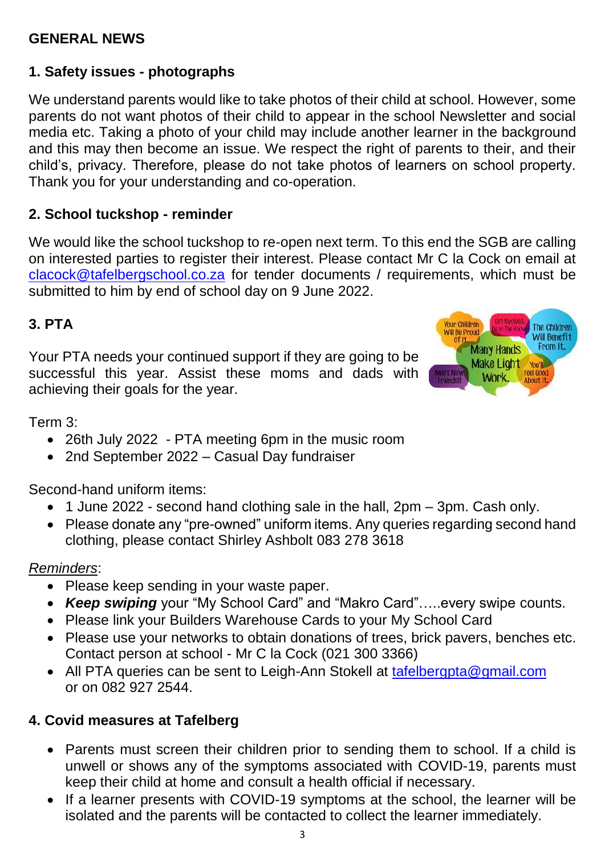# **GENERAL NEWS**

# **1. Safety issues - photographs**

We understand parents would like to take photos of their child at school. However, some parents do not want photos of their child to appear in the school Newsletter and social media etc. Taking a photo of your child may include another learner in the background and this may then become an issue. We respect the right of parents to their, and their child's, privacy. Therefore, please do not take photos of learners on school property. Thank you for your understanding and co-operation.

#### **2. School tuckshop - reminder**

We would like the school tuckshop to re-open next term. To this end the SGB are calling on interested parties to register their interest. Please contact Mr C la Cock on email at [clacock@tafelbergschool.co.za](mailto:clacock@tafelbergschool.co.za) for tender documents / requirements, which must be submitted to him by end of school day on 9 June 2022.

#### **3. PTA**

Your PTA needs your continued support if they are going to be successful this year. Assist these moms and dads with achieving their goals for the year.



Term 3:

- 26th July 2022 PTA meeting 6pm in the music room
- 2nd September 2022 Casual Day fundraiser

Second-hand uniform items:

- 1 June 2022 second hand clothing sale in the hall, 2pm 3pm. Cash only.
- Please donate any "pre-owned" uniform items. Any queries regarding second hand clothing, please contact Shirley Ashbolt 083 278 3618

#### *Reminders*:

- Please keep sending in your waste paper.
- *Keep swiping* your "My School Card" and "Makro Card"…..every swipe counts.
- Please link your Builders Warehouse Cards to your My School Card
- Please use your networks to obtain donations of trees, brick pavers, benches etc. Contact person at school - Mr C la Cock (021 300 3366)
- All PTA queries can be sent to Leigh-Ann Stokell at [tafelbergpta@gmail.com](mailto:tafelbergpta@gmail.com) or on 082 927 2544.

# **4. Covid measures at Tafelberg**

- Parents must screen their children prior to sending them to school. If a child is unwell or shows any of the symptoms associated with COVID-19, parents must keep their child at home and consult a health official if necessary.
- If a learner presents with COVID-19 symptoms at the school, the learner will be isolated and the parents will be contacted to collect the learner immediately.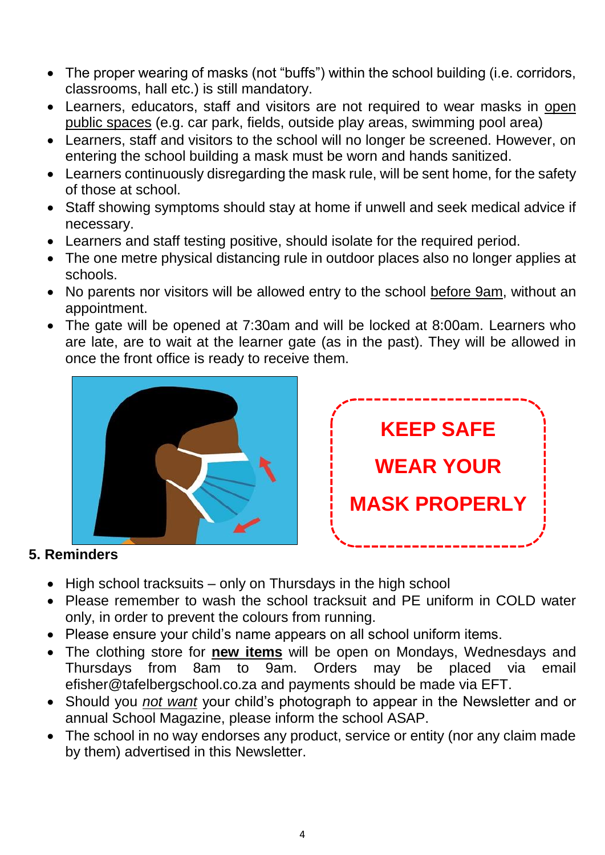- The proper wearing of masks (not "buffs") within the school building (i.e. corridors, classrooms, hall etc.) is still mandatory.
- Learners, educators, staff and visitors are not required to wear masks in open public spaces (e.g. car park, fields, outside play areas, swimming pool area)
- Learners, staff and visitors to the school will no longer be screened. However, on entering the school building a mask must be worn and hands sanitized.
- Learners continuously disregarding the mask rule, will be sent home, for the safety of those at school.
- Staff showing symptoms should stay at home if unwell and seek medical advice if necessary.
- Learners and staff testing positive, should isolate for the required period.
- The one metre physical distancing rule in outdoor places also no longer applies at schools.
- No parents nor visitors will be allowed entry to the school before 9am, without an appointment.
- The gate will be opened at 7:30am and will be locked at 8:00am. Learners who are late, are to wait at the learner gate (as in the past). They will be allowed in once the front office is ready to receive them.





# **5. Reminders**

- $\bullet$  High school tracksuits only on Thursdays in the high school
- Please remember to wash the school tracksuit and PE uniform in COLD water only, in order to prevent the colours from running.
- Please ensure your child's name appears on all school uniform items.
- The clothing store for **new items** will be open on Mondays, Wednesdays and Thursdays from 8am to 9am. Orders may be placed via email efisher@tafelbergschool.co.za and payments should be made via EFT.
- Should you *not want* your child's photograph to appear in the Newsletter and or annual School Magazine, please inform the school ASAP.
- The school in no way endorses any product, service or entity (nor any claim made by them) advertised in this Newsletter.